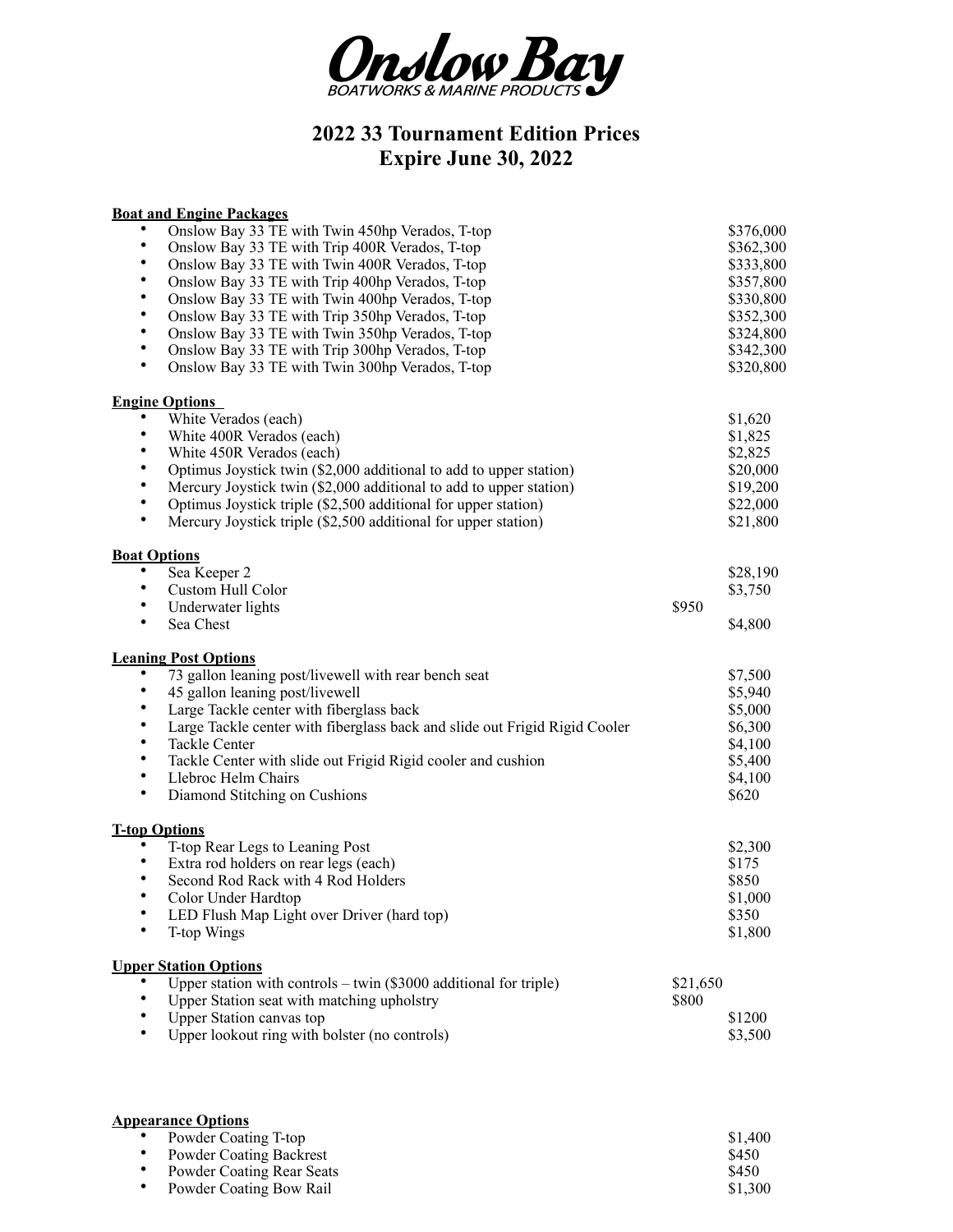

## **2022 33 Tournament Edition Prices Expire June 30, 2022**

## **Boat and Engine Packages** • Onslow Bay 33 TE with Twin 450hp Verados, T-top  $$376,000$ <br>• Onslow Bay 33 TE with Trip 400B Verados, T-top  $$3262,200$ • Onslow Bay 33 TE with Trip 400R Verados, T-top \$362,300<br>• Onslow Bay 33 TE with Twin 400R Verados, T-top \$333,800 \$333,800 Onslow Bay 33 TE with Twin 400R Verados, T-top Onslow Bay 33 TE with Trip 400hp Verados, T-top \$357,800 • Onslow Bay 33 TE with Twin 400hp Verados, T-top \$330,800<br>• Onslow Bay 33 TE with Trin 350hp Verados, T-top \$350,800 • Onslow Bay 33 TE with Trip 350hp Verados, T-top \$352,300<br>• Onslow Bay 33 TE with Twin 350hp Verados, T-top \$32,4800 • Onslow Bay 33 TE with Twin 350hp Verados, T-top  $$324,800$ <br>
• Onslow Bay 33 TE with Trip 300hp Verados, T-top  $$324,200$ • Onslow Bay 33 TE with Trip 300hp Verados, T-top \$342,300<br>• Onslow Bay 33 TE with Twin 300hp Verados, T-top \$320,800 • Onslow Bay 33 TE with Twin 300hp Verados, T-top \$320,800 **Engine Options** White Verados (each) \$1,620<br>White 400R Verados (each) \$1,825 • White 400R Verados (each)<br>• White 450B Verados (each) • White 450R Verados (each)  $$2,825$ <br>• Optimus Isystick twin  $$2,000$  edditional to add to unner station)  $$20,000$ • Optimus Joystick twin (\$2,000 additional to add to upper station) \$20,000 • Mercury Joystick twin (\$2,000 additional to add to upper station) \$19,200 • Optimus Joystick triple (\$2,500 additional for upper station) \$22,000 • Mercury Joystick triple (\$2,500 additional for upper station) \$21,800 **Boat Options** er Sea Keeper 2 \$28,190 • Custom Hull Color \$3,750 Underwater lights \$950 • Sea Chest \$4,800 **Leaning Post Options** <sup>73</sup> gallon leaning post/livewell with rear bench seat \$7,500 45 gallon leaning post/livewell  $$5,940$ • Large Tackle center with fiberglass back \$5,000<br>• Large Tackle center with fiberglass back and slide out Friedd Bigid Cooler • Large Tackle center with fiberglass back and slide out Frigid Rigid Cooler \$6,300 Tackle Center Tackle Center with slide out Frigid Rigid cooler and cushion \$5,400<br>Llebroc Helm Chairs \$4,100 Llebroc Helm Chairs **• Diamond Stitching on Cushions** \$620 **T-top Options** T-top Rear Legs to Leaning Post \$2,300 • Extra rod holders on rear legs (each) \$175<br>Seeond Bod Beek with 4 Bod Holders \$850 • Second Rod Rack with 4 Rod Holders \$850 • Color Under Hardtop \$1,000 • LED Flush Map Light over Driver (hard top)  $$350$ <br>
• T top Wings  $$1.80$ T-top Wings \$1,800 **Upper Station Options** Upper station with controls – twin (\$3000 additional for triple) \$21,650<br>Upper Station seat with matching upholstry \$800 Upper Station seat with matching upholstry Upper Station canvas top  $$1200$ Upper lookout ring with bolster (no controls) \$3,500

## **Appearance Options** Powder Coating T-top \$1,400<br>
Powder Coating Backrest \$450 Powder Coating Backrest Powder Coating Rear Seats  $$450$ Powder Coating Bow Rail  $$1,300$